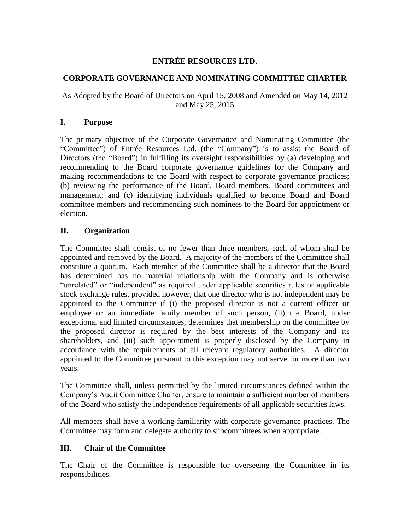# **ENTRÉE RESOURCES LTD.**

### **CORPORATE GOVERNANCE AND NOMINATING COMMITTEE CHARTER**

# As Adopted by the Board of Directors on April 15, 2008 and Amended on May 14, 2012 and May 25, 2015

#### **I. Purpose**

The primary objective of the Corporate Governance and Nominating Committee (the "Committee") of Entrée Resources Ltd. (the "Company") is to assist the Board of Directors (the "Board") in fulfilling its oversight responsibilities by (a) developing and recommending to the Board corporate governance guidelines for the Company and making recommendations to the Board with respect to corporate governance practices; (b) reviewing the performance of the Board, Board members, Board committees and management; and (c) identifying individuals qualified to become Board and Board committee members and recommending such nominees to the Board for appointment or election.

# **II. Organization**

The Committee shall consist of no fewer than three members, each of whom shall be appointed and removed by the Board. A majority of the members of the Committee shall constitute a quorum. Each member of the Committee shall be a director that the Board has determined has no material relationship with the Company and is otherwise "unrelated" or "independent" as required under applicable securities rules or applicable stock exchange rules, provided however, that one director who is not independent may be appointed to the Committee if (i) the proposed director is not a current officer or employee or an immediate family member of such person, (ii) the Board, under exceptional and limited circumstances, determines that membership on the committee by the proposed director is required by the best interests of the Company and its shareholders, and (iii) such appointment is properly disclosed by the Company in accordance with the requirements of all relevant regulatory authorities. A director appointed to the Committee pursuant to this exception may not serve for more than two years.

The Committee shall, unless permitted by the limited circumstances defined within the Company's Audit Committee Charter, ensure to maintain a sufficient number of members of the Board who satisfy the independence requirements of all applicable securities laws.

All members shall have a working familiarity with corporate governance practices. The Committee may form and delegate authority to subcommittees when appropriate.

#### **III. Chair of the Committee**

The Chair of the Committee is responsible for overseeing the Committee in its responsibilities.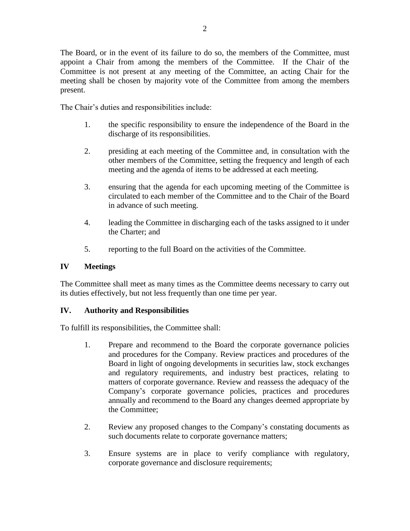The Board, or in the event of its failure to do so, the members of the Committee, must appoint a Chair from among the members of the Committee. If the Chair of the Committee is not present at any meeting of the Committee, an acting Chair for the meeting shall be chosen by majority vote of the Committee from among the members present.

The Chair's duties and responsibilities include:

- 1. the specific responsibility to ensure the independence of the Board in the discharge of its responsibilities.
- 2. presiding at each meeting of the Committee and, in consultation with the other members of the Committee, setting the frequency and length of each meeting and the agenda of items to be addressed at each meeting.
- 3. ensuring that the agenda for each upcoming meeting of the Committee is circulated to each member of the Committee and to the Chair of the Board in advance of such meeting.
- 4. leading the Committee in discharging each of the tasks assigned to it under the Charter; and
- 5. reporting to the full Board on the activities of the Committee.

### **IV Meetings**

The Committee shall meet as many times as the Committee deems necessary to carry out its duties effectively, but not less frequently than one time per year.

#### **IV. Authority and Responsibilities**

To fulfill its responsibilities, the Committee shall:

- 1. Prepare and recommend to the Board the corporate governance policies and procedures for the Company. Review practices and procedures of the Board in light of ongoing developments in securities law, stock exchanges and regulatory requirements, and industry best practices, relating to matters of corporate governance. Review and reassess the adequacy of the Company's corporate governance policies, practices and procedures annually and recommend to the Board any changes deemed appropriate by the Committee;
- 2. Review any proposed changes to the Company's constating documents as such documents relate to corporate governance matters;
- 3. Ensure systems are in place to verify compliance with regulatory, corporate governance and disclosure requirements;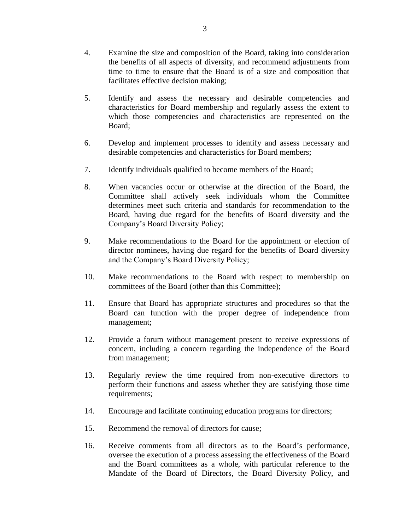- 4. Examine the size and composition of the Board, taking into consideration the benefits of all aspects of diversity, and recommend adjustments from time to time to ensure that the Board is of a size and composition that facilitates effective decision making;
- 5. Identify and assess the necessary and desirable competencies and characteristics for Board membership and regularly assess the extent to which those competencies and characteristics are represented on the Board;
- 6. Develop and implement processes to identify and assess necessary and desirable competencies and characteristics for Board members;
- 7. Identify individuals qualified to become members of the Board;
- 8. When vacancies occur or otherwise at the direction of the Board, the Committee shall actively seek individuals whom the Committee determines meet such criteria and standards for recommendation to the Board, having due regard for the benefits of Board diversity and the Company's Board Diversity Policy;
- 9. Make recommendations to the Board for the appointment or election of director nominees, having due regard for the benefits of Board diversity and the Company's Board Diversity Policy;
- 10. Make recommendations to the Board with respect to membership on committees of the Board (other than this Committee);
- 11. Ensure that Board has appropriate structures and procedures so that the Board can function with the proper degree of independence from management;
- 12. Provide a forum without management present to receive expressions of concern, including a concern regarding the independence of the Board from management;
- 13. Regularly review the time required from non-executive directors to perform their functions and assess whether they are satisfying those time requirements;
- 14. Encourage and facilitate continuing education programs for directors;
- 15. Recommend the removal of directors for cause;
- 16. Receive comments from all directors as to the Board's performance, oversee the execution of a process assessing the effectiveness of the Board and the Board committees as a whole, with particular reference to the Mandate of the Board of Directors, the Board Diversity Policy, and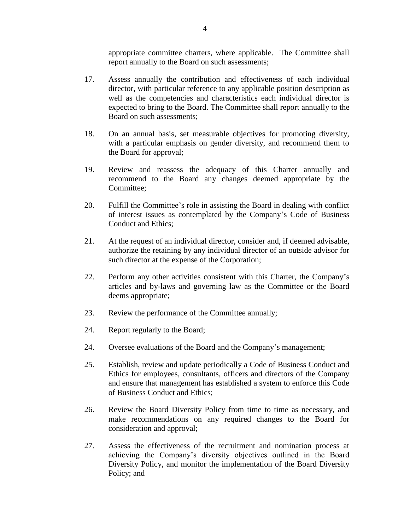appropriate committee charters, where applicable. The Committee shall report annually to the Board on such assessments;

- 17. Assess annually the contribution and effectiveness of each individual director, with particular reference to any applicable position description as well as the competencies and characteristics each individual director is expected to bring to the Board. The Committee shall report annually to the Board on such assessments;
- 18. On an annual basis, set measurable objectives for promoting diversity, with a particular emphasis on gender diversity, and recommend them to the Board for approval;
- 19. Review and reassess the adequacy of this Charter annually and recommend to the Board any changes deemed appropriate by the Committee;
- 20. Fulfill the Committee's role in assisting the Board in dealing with conflict of interest issues as contemplated by the Company's Code of Business Conduct and Ethics;
- 21. At the request of an individual director, consider and, if deemed advisable, authorize the retaining by any individual director of an outside advisor for such director at the expense of the Corporation;
- 22. Perform any other activities consistent with this Charter, the Company's articles and by-laws and governing law as the Committee or the Board deems appropriate;
- 23. Review the performance of the Committee annually;
- 24. Report regularly to the Board;
- 24. Oversee evaluations of the Board and the Company's management;
- 25. Establish, review and update periodically a Code of Business Conduct and Ethics for employees, consultants, officers and directors of the Company and ensure that management has established a system to enforce this Code of Business Conduct and Ethics;
- 26. Review the Board Diversity Policy from time to time as necessary, and make recommendations on any required changes to the Board for consideration and approval;
- 27. Assess the effectiveness of the recruitment and nomination process at achieving the Company's diversity objectives outlined in the Board Diversity Policy, and monitor the implementation of the Board Diversity Policy; and